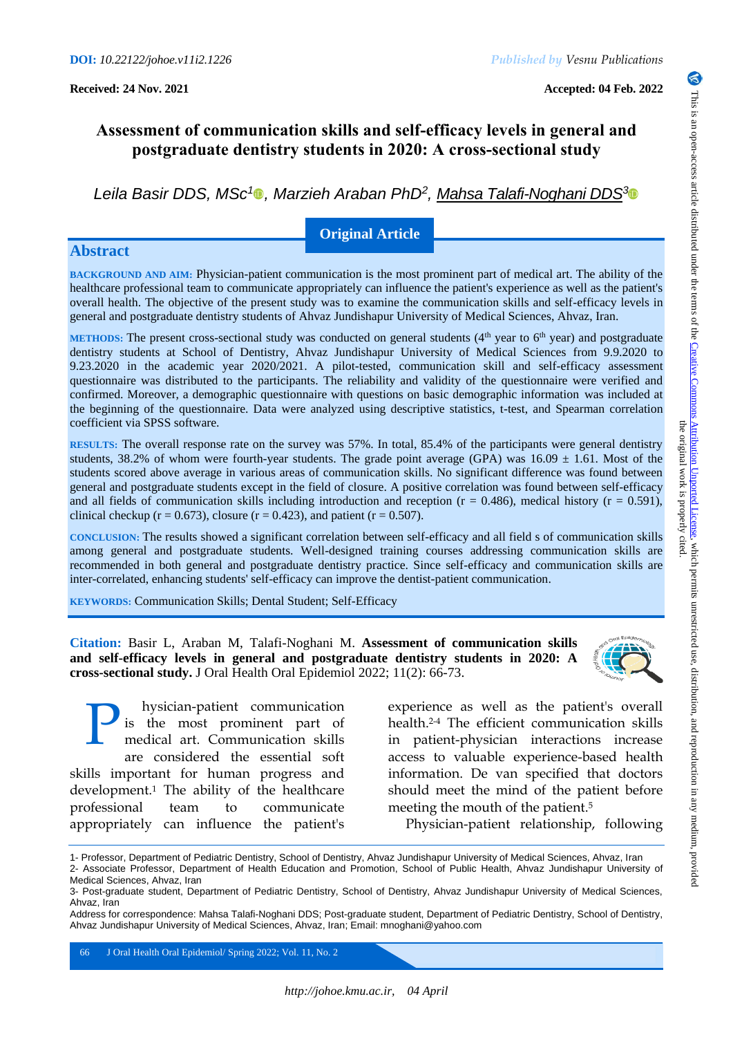# **Assessment of communication skills and self-efficacy levels in general and postgraduate dentistry students in 2020: A cross-sectional study**

*Leila Basir DDS, MSc<sup>1</sup> , Marzieh Araban PhD<sup>2</sup> , Mahsa Talafi-Noghani DDS[3](https://orcid.org/0000-0002-1745-9227)*

## **Original Article**

## **Abstract**

**BACKGROUND AND AIM:** Physician-patient communication is the most prominent part of medical art. The ability of the healthcare professional team to communicate appropriately can influence the patient's experience as well as the patient's overall health. The objective of the present study was to examine the communication skills and self-efficacy levels in general and postgraduate dentistry students of Ahvaz Jundishapur University of Medical Sciences, Ahvaz, Iran.

**METHODS:** The present cross-sectional study was conducted on general students  $(4<sup>th</sup>$  year to  $6<sup>th</sup>$  year) and postgraduate dentistry students at School of Dentistry, Ahvaz Jundishapur University of Medical Sciences from 9.9.2020 to 9.23.2020 in the academic year 2020/2021. A pilot-tested, communication skill and self-efficacy assessment questionnaire was distributed to the participants. The reliability and validity of the questionnaire were verified and confirmed. Moreover, a demographic questionnaire with questions on basic demographic information was included at the beginning of the questionnaire. Data were analyzed using descriptive statistics, t-test, and Spearman correlation coefficient via SPSS software.

**RESULTS:** The overall response rate on the survey was 57%. In total, 85.4% of the participants were general dentistry students, 38.2% of whom were fourth-year students. The grade point average (GPA) was  $16.09 \pm 1.61$ . Most of the students scored above average in various areas of communication skills. No significant difference was found between general and postgraduate students except in the field of closure. A positive correlation was found between self-efficacy and all fields of communication skills including introduction and reception  $(r = 0.486)$ , medical history  $(r = 0.591)$ , clinical checkup ( $r = 0.673$ ), closure ( $r = 0.423$ ), and patient ( $r = 0.507$ ).

**CONCLUSION:** The results showed a significant correlation between self-efficacy and all field s of communication skills among general and postgraduate students. Well-designed training courses addressing communication skills are recommended in both general and postgraduate dentistry practice. Since self-efficacy and communication skills are inter-correlated, enhancing students' self-efficacy can improve the dentist-patient communication.

**KEYWORDS:** Communication Skills; Dental Student; Self-Efficacy

**Citation:** Basir L, Araban M, Talafi-Noghani M. **Assessment of communication skills and self-efficacy levels in general and postgraduate dentistry students in 2020: A cross-sectional study.** J Oral Health Oral Epidemiol 2022; 11(2): 66-73.



hysician-patient communication is the most prominent part of medical art. Communication skills are considered the essential soft skills important for human progress and development.<sup>1</sup> The ability of the healthcare professional team to communicate appropriately can influence the patient's P

experience as well as the patient's overall health.2-4 The efficient communication skills in patient-physician interactions increase access to valuable experience-based health information. De van specified that doctors should meet the mind of the patient before meeting the mouth of the patient.<sup>5</sup>

Physician-patient relationship, following

66 J Oral Health Oral Epidemiol/ Spring 2022; Vol. 11, No. 2

<sup>1-</sup> Professor, Department of Pediatric Dentistry, School of Dentistry, Ahvaz Jundishapur University of Medical Sciences, Ahvaz, Iran 2- Associate Professor, Department of Health Education and Promotion, School of Public Health, Ahvaz Jundishapur University of Medical Sciences, Ahvaz, Iran

<sup>3-</sup> Post-graduate student, Department of Pediatric Dentistry, School of Dentistry, Ahvaz Jundishapur University of Medical Sciences, Ahvaz, Iran

Address for correspondence: Mahsa Talafi-Noghani DDS; Post-graduate student, Department of Pediatric Dentistry, School of Dentistry, Ahvaz Jundishapur University of Medical Sciences, Ahvaz, Iran; Email: mnoghani@yahoo.com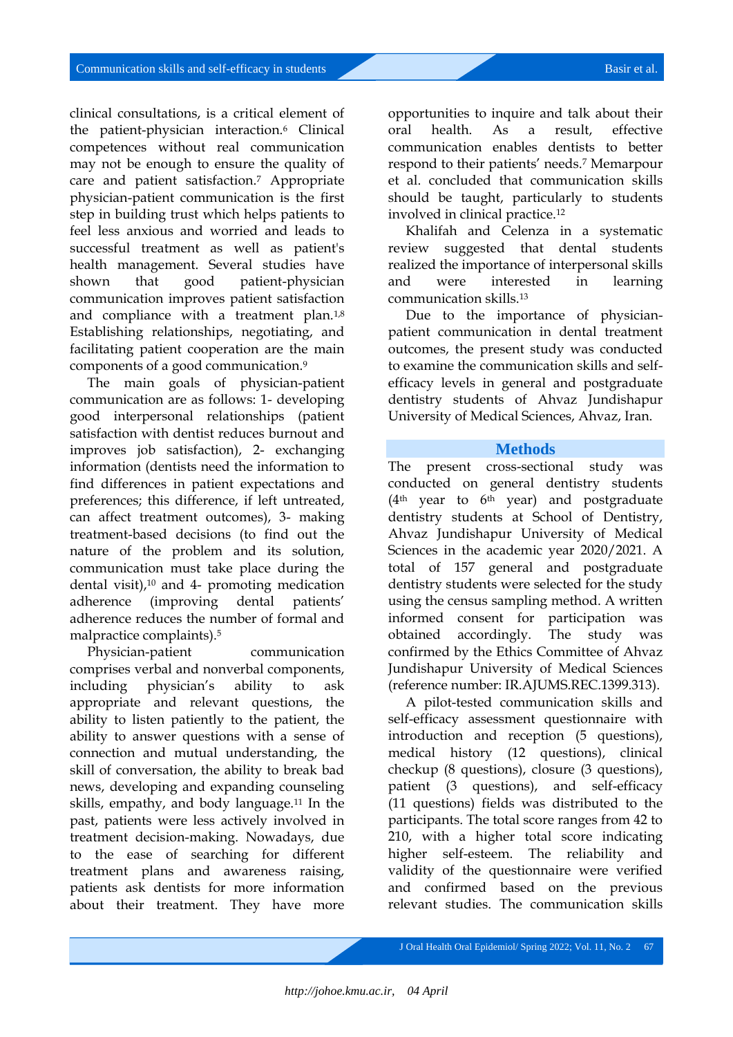clinical consultations, is a critical element of the patient-physician interaction.<sup>6</sup> Clinical competences without real communication may not be enough to ensure the quality of care and patient satisfaction.<sup>7</sup> Appropriate physician-patient communication is the first step in building trust which helps patients to feel less anxious and worried and leads to successful treatment as well as patient's health management. Several studies have shown that good patient-physician communication improves patient satisfaction and compliance with a treatment plan.<sup>1,8</sup> Establishing relationships, negotiating, and facilitating patient cooperation are the main components of a good communication.<sup>9</sup>

The main goals of physician-patient communication are as follows: 1- developing good interpersonal relationships (patient satisfaction with dentist reduces burnout and improves job satisfaction), 2- exchanging information (dentists need the information to find differences in patient expectations and preferences; this difference, if left untreated, can affect treatment outcomes), 3- making treatment-based decisions (to find out the nature of the problem and its solution, communication must take place during the dental visit),<sup>10</sup> and 4- promoting medication adherence (improving dental patients' adherence reduces the number of formal and malpractice complaints).<sup>5</sup>

Physician-patient communication comprises verbal and nonverbal components, including physician's ability to ask appropriate and relevant questions, the ability to listen patiently to the patient, the ability to answer questions with a sense of connection and mutual understanding, the skill of conversation, the ability to break bad news, developing and expanding counseling skills, empathy, and body language.<sup>11</sup> In the past, patients were less actively involved in treatment decision-making. Nowadays, due to the ease of searching for different treatment plans and awareness raising, patients ask dentists for more information about their treatment. They have more

opportunities to inquire and talk about their oral health. As a result, effective communication enables dentists to better respond to their patients' needs.<sup>7</sup> Memarpour et al. concluded that communication skills should be taught, particularly to students involved in clinical practice.<sup>12</sup>

Khalifah and Celenza in a systematic review suggested that dental students realized the importance of interpersonal skills and were interested in learning communication skills.<sup>13</sup>

Due to the importance of physicianpatient communication in dental treatment outcomes, the present study was conducted to examine the communication skills and selfefficacy levels in general and postgraduate dentistry students of Ahvaz Jundishapur University of Medical Sciences, Ahvaz, Iran.

### **Methods**

The present cross-sectional study was conducted on general dentistry students  $(4<sup>th</sup>$  year to  $6<sup>th</sup>$  year) and postgraduate dentistry students at School of Dentistry, Ahvaz Jundishapur University of Medical Sciences in the academic year 2020/2021. A total of 157 general and postgraduate dentistry students were selected for the study using the census sampling method. A written informed consent for participation was obtained accordingly. The study was confirmed by the Ethics Committee of Ahvaz Jundishapur University of Medical Sciences (reference number: IR.AJUMS.REC.1399.313).

A pilot-tested communication skills and self-efficacy assessment questionnaire with introduction and reception (5 questions), medical history (12 questions), clinical checkup (8 questions), closure (3 questions), patient (3 questions), and self-efficacy (11 questions) fields was distributed to the participants. The total score ranges from 42 to 210, with a higher total score indicating higher self-esteem. The reliability and validity of the questionnaire were verified and confirmed based on the previous relevant studies. The communication skills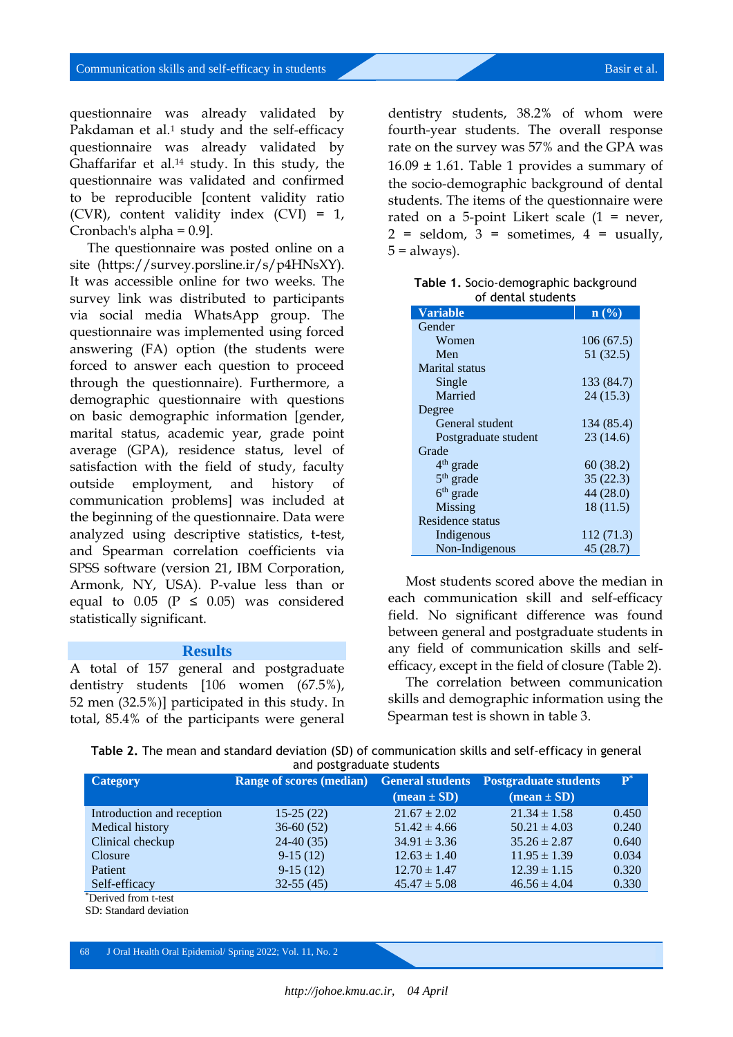questionnaire was already validated by Pakdaman et al.<sup>1</sup> study and the self-efficacy questionnaire was already validated by Ghaffarifar et al.<sup>14</sup> study. In this study, the questionnaire was validated and confirmed to be reproducible [content validity ratio (CVR), content validity index (CVI) = 1, Cronbach's alpha = 0.9].

The questionnaire was posted online on a site (https://survey.porsline.ir/s/p4HNsXY). It was accessible online for two weeks. The survey link was distributed to participants via social media WhatsApp group. The questionnaire was implemented using forced answering (FA) option (the students were forced to answer each question to proceed through the questionnaire). Furthermore, a demographic questionnaire with questions on basic demographic information [gender, marital status, academic year, grade point average (GPA), residence status, level of satisfaction with the field of study, faculty outside employment, and history of communication problems] was included at the beginning of the questionnaire. Data were analyzed using descriptive statistics, t-test, and Spearman correlation coefficients via SPSS software (version 21, IBM Corporation, Armonk, NY, USA). P-value less than or equal to  $0.05$  ( $P \le 0.05$ ) was considered statistically significant.

#### **Results**

A total of 157 general and postgraduate dentistry students [106 women (67.5%), 52 men (32.5%)] participated in this study. In total, 85.4% of the participants were general

dentistry students, 38.2% of whom were fourth-year students. The overall response rate on the survey was 57% and the GPA was  $16.09 \pm 1.61$ . Table 1 provides a summary of the socio-demographic background of dental students. The items of the questionnaire were rated on a 5-point Likert scale (1 = never,  $2 =$  seldom,  $3 =$  sometimes,  $4 =$  usually,  $5 =$  always).

| Table 1. Socio-demographic background |
|---------------------------------------|
| of dental students                    |

| <b>Variable</b>      | $\mathbf{n}$ (%) |
|----------------------|------------------|
| Gender               |                  |
| Women                | 106(67.5)        |
| Men                  | 51 (32.5)        |
| Marital status       |                  |
| Single               | 133 (84.7)       |
| Married              | 24(15.3)         |
| Degree               |                  |
| General student      | 134 (85.4)       |
| Postgraduate student | 23(14.6)         |
| Grade                |                  |
| $4th$ grade          | 60 (38.2)        |
| $5th$ grade          | 35(22.3)         |
| $6th$ grade          | 44 (28.0)        |
| Missing              | 18 (11.5)        |
| Residence status     |                  |
| Indigenous           | 112(71.3)        |
| Non-Indigenous       | 45(28.7)         |

Most students scored above the median in each communication skill and self-efficacy field. No significant difference was found between general and postgraduate students in any field of communication skills and selfefficacy, except in the field of closure (Table 2).

The correlation between communication skills and demographic information using the Spearman test is shown in table 3.

|                           |  |  |  |  | Table 2. The mean and standard deviation (SD) of communication skills and self-efficacy in general |  |  |  |  |
|---------------------------|--|--|--|--|----------------------------------------------------------------------------------------------------|--|--|--|--|
| and postgraduate students |  |  |  |  |                                                                                                    |  |  |  |  |

| <b>Category</b>            | <b>Range of scores (median)</b> | <b>General students</b>       | <b>Postgraduate students</b>  | ${\bf P}^*$ |
|----------------------------|---------------------------------|-------------------------------|-------------------------------|-------------|
|                            |                                 | $(\text{mean} \pm \text{SD})$ | $(\text{mean} \pm \text{SD})$ |             |
| Introduction and reception | $15-25(22)$                     | $21.67 \pm 2.02$              | $21.34 \pm 1.58$              | 0.450       |
| Medical history            | $36-60(52)$                     | $51.42 \pm 4.66$              | $50.21 \pm 4.03$              | 0.240       |
| Clinical checkup           | $24-40(35)$                     | $34.91 \pm 3.36$              | $35.26 \pm 2.87$              | 0.640       |
| Closure                    | $9-15(12)$                      | $12.63 \pm 1.40$              | $11.95 \pm 1.39$              | 0.034       |
| Patient                    | $9-15(12)$                      | $12.70 \pm 1.47$              | $12.39 \pm 1.15$              | 0.320       |
| Self-efficacy              | $32-55(45)$                     | $45.47 \pm 5.08$              | $46.56 \pm 4.04$              | 0.330       |
| *Derived from t-test       |                                 |                               |                               |             |

SD: Standard deviation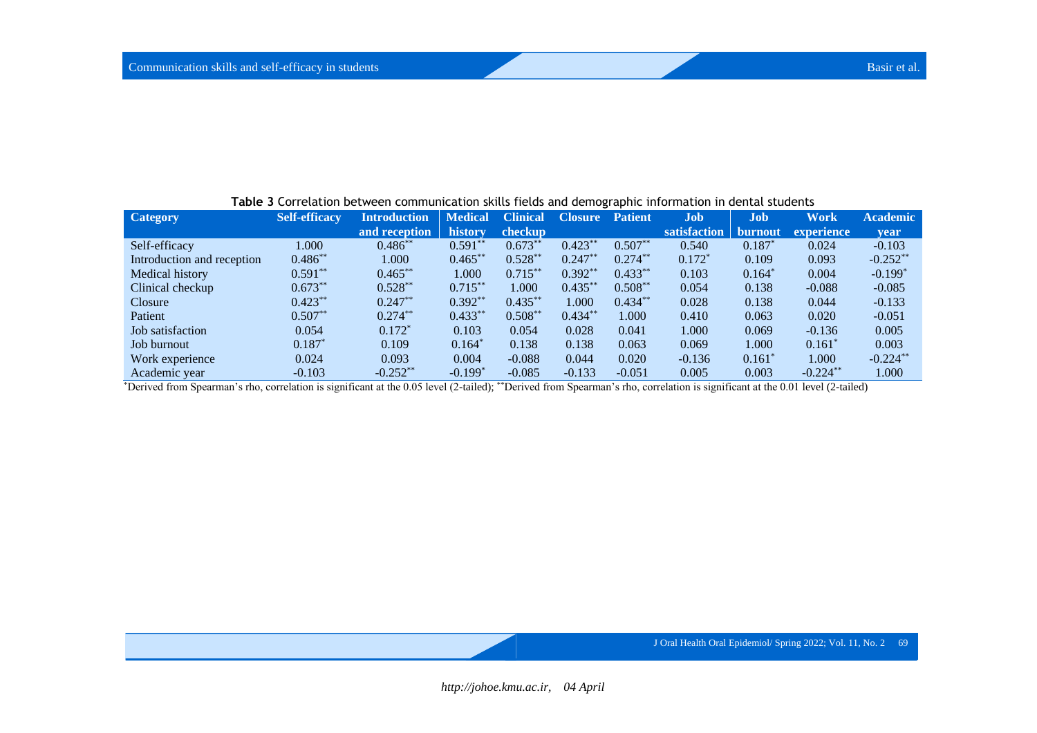| <b>TWEE - CONTENTION SECTIONS COMMUNICATION SHINGS HOLDS AND GENTOGRAPHIC MITOLIMATION SECTION SEQUENCES</b> |                      |                     |                |                 |                |                |              |            |             |                 |
|--------------------------------------------------------------------------------------------------------------|----------------------|---------------------|----------------|-----------------|----------------|----------------|--------------|------------|-------------|-----------------|
| <b>Category</b>                                                                                              | <b>Self-efficacy</b> | <b>Introduction</b> | <b>Medical</b> | <b>Clinical</b> | <b>Closure</b> | <b>Patient</b> | Job          | <b>Job</b> | <b>Work</b> | <b>Academic</b> |
|                                                                                                              |                      | and reception       | history        | checkup         |                |                | satisfaction | burnout    | experience  | vear            |
| Self-efficacy                                                                                                | 1.000                | $0.486^{**}$        | $0.591**$      | $0.673**$       | $0.423**$      | $0.507**$      | 0.540        | $0.187*$   | 0.024       | $-0.103$        |
| Introduction and reception                                                                                   | $0.486**$            | 1.000               | $0.465**$      | $0.528**$       | $0.247**$      | $0.274**$      | $0.172*$     | 0.109      | 0.093       | $-0.252**$      |
| Medical history                                                                                              | $0.591**$            | $0.465***$          | 1.000          | $0.715***$      | $0.392**$      | $0.433**$      | 0.103        | $0.164*$   | 0.004       | $-0.199*$       |
| Clinical checkup                                                                                             | $0.673***$           | $0.528**$           | $0.715***$     | 1.000           | $0.435***$     | $0.508**$      | 0.054        | 0.138      | $-0.088$    | $-0.085$        |
| <b>Closure</b>                                                                                               | $0.423***$           | $0.247**$           | $0.392**$      | $0.435***$      | 1.000          | $0.434**$      | 0.028        | 0.138      | 0.044       | $-0.133$        |
| Patient                                                                                                      | $0.507**$            | $0.274***$          | $0.433**$      | $0.508**$       | $0.434**$      | 1.000          | 0.410        | 0.063      | 0.020       | $-0.051$        |
| Job satisfaction                                                                                             | 0.054                | $0.172*$            | 0.103          | 0.054           | 0.028          | 0.041          | 1.000        | 0.069      | $-0.136$    | 0.005           |
| Job burnout                                                                                                  | $0.187*$             | 0.109               | $0.164*$       | 0.138           | 0.138          | 0.063          | 0.069        | 1.000      | $0.161^*$   | 0.003           |
| Work experience                                                                                              | 0.024                | 0.093               | 0.004          | $-0.088$        | 0.044          | 0.020          | $-0.136$     | 0.161      | 1.000       | $-0.224$ **     |
| Academic year                                                                                                | $-0.103$             | $-0.252**$          | $-0.199*$      | $-0.085$        | $-0.133$       | $-0.051$       | 0.005        | 0.003      | $-0.224***$ | 1.000           |

**Table 3** Correlation between communication skills fields and demographic information in dental students

\*Derived from Spearman's rho, correlation is significant at the 0.05 level (2-tailed); \*\*Derived from Spearman's rho, correlation is significant at the 0.01 level (2-tailed)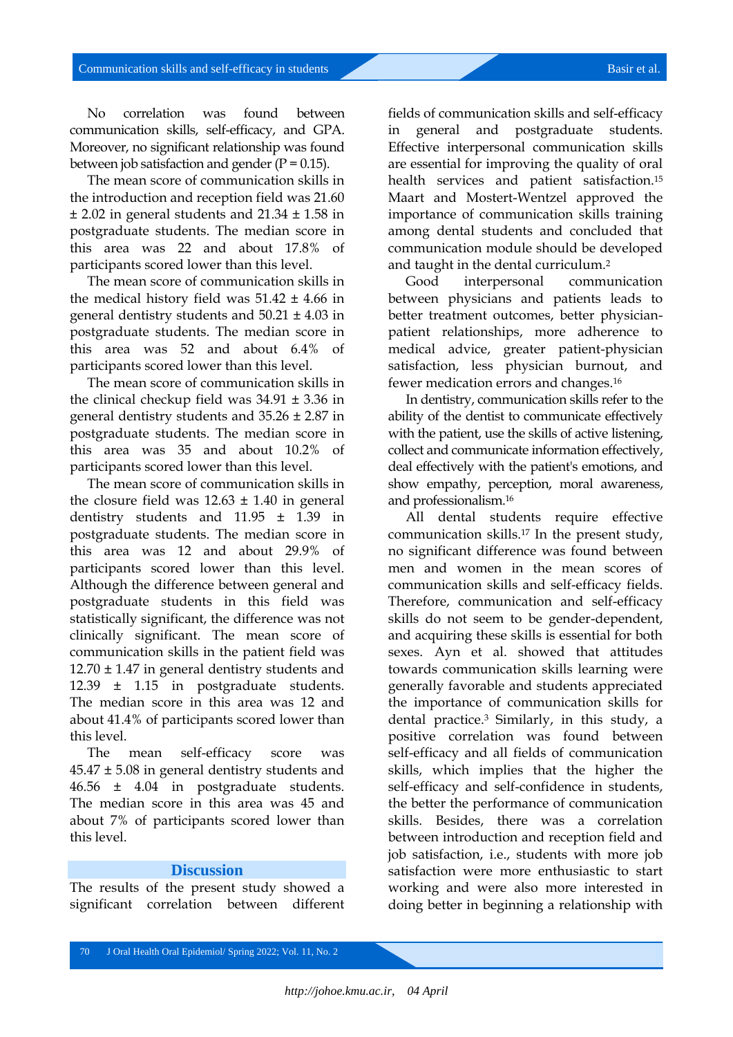No correlation was found between communication skills, self-efficacy, and GPA. Moreover, no significant relationship was found between job satisfaction and gender  $(P = 0.15)$ .

The mean score of communication skills in the introduction and reception field was 21.60  $\pm$  2.02 in general students and 21.34  $\pm$  1.58 in postgraduate students. The median score in this area was 22 and about 17.8% of participants scored lower than this level.

The mean score of communication skills in the medical history field was  $51.42 \pm 4.66$  in general dentistry students and 50.21 ± 4.03 in postgraduate students. The median score in this area was 52 and about 6.4% of participants scored lower than this level.

The mean score of communication skills in the clinical checkup field was  $34.91 \pm 3.36$  in general dentistry students and 35.26 ± 2.87 in postgraduate students. The median score in this area was 35 and about 10.2% of participants scored lower than this level.

The mean score of communication skills in the closure field was  $12.63 \pm 1.40$  in general dentistry students and 11.95 ± 1.39 in postgraduate students. The median score in this area was 12 and about 29.9% of participants scored lower than this level. Although the difference between general and postgraduate students in this field was statistically significant, the difference was not clinically significant. The mean score of communication skills in the patient field was 12.70 ± 1.47 in general dentistry students and 12.39 ± 1.15 in postgraduate students. The median score in this area was 12 and about 41.4% of participants scored lower than this level.

The mean self-efficacy score was  $45.47 \pm 5.08$  in general dentistry students and 46.56 ± 4.04 in postgraduate students. The median score in this area was 45 and about 7% of participants scored lower than this level.

#### **Discussion**

The results of the present study showed a significant correlation between different

fields of communication skills and self-efficacy in general and postgraduate students. Effective interpersonal communication skills are essential for improving the quality of oral health services and patient satisfaction.<sup>15</sup> Maart and Mostert-Wentzel approved the importance of communication skills training among dental students and concluded that communication module should be developed and taught in the dental curriculum.<sup>2</sup>

Good interpersonal communication between physicians and patients leads to better treatment outcomes, better physicianpatient relationships, more adherence to medical advice, greater patient-physician satisfaction, less physician burnout, and fewer medication errors and changes.<sup>16</sup>

In dentistry, communication skills refer to the ability of the dentist to communicate effectively with the patient, use the skills of active listening, collect and communicate information effectively, deal effectively with the patient's emotions, and show empathy, perception, moral awareness, and professionalism.<sup>16</sup>

All dental students require effective communication skills.<sup>17</sup> In the present study, no significant difference was found between men and women in the mean scores of communication skills and self-efficacy fields. Therefore, communication and self-efficacy skills do not seem to be gender-dependent, and acquiring these skills is essential for both sexes. Ayn et al. showed that attitudes towards communication skills learning were generally favorable and students appreciated the importance of communication skills for dental practice.<sup>3</sup> Similarly, in this study, a positive correlation was found between self-efficacy and all fields of communication skills, which implies that the higher the self-efficacy and self-confidence in students, the better the performance of communication skills. Besides, there was a correlation between introduction and reception field and job satisfaction, i.e., students with more job satisfaction were more enthusiastic to start working and were also more interested in doing better in beginning a relationship with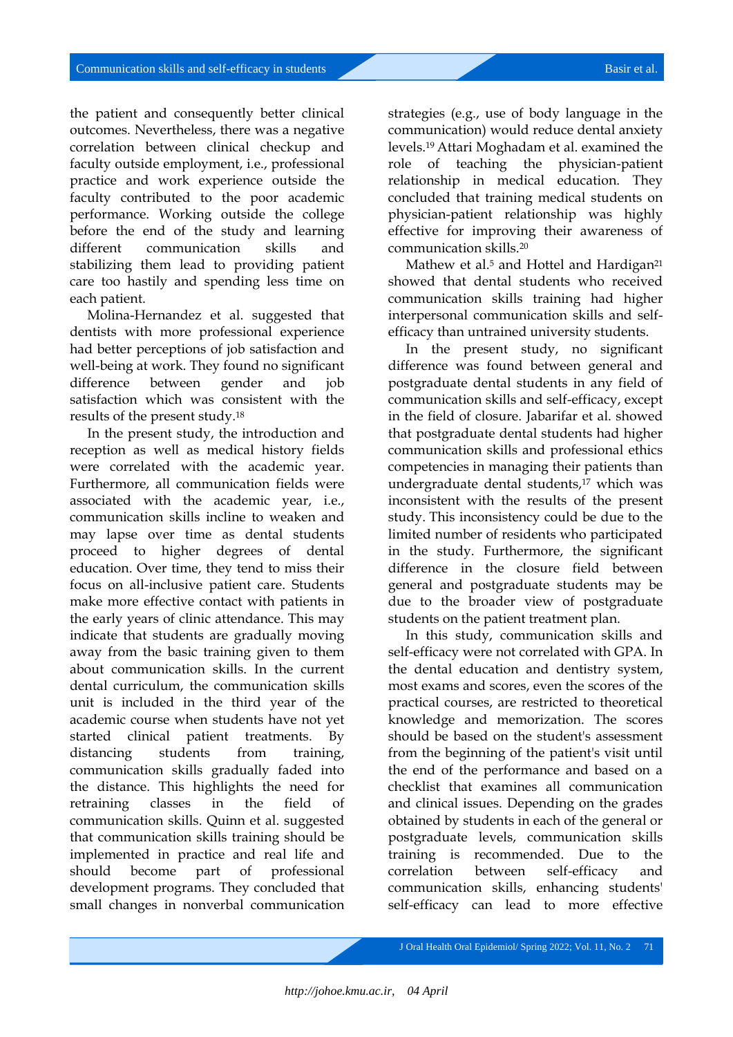the patient and consequently better clinical outcomes. Nevertheless, there was a negative correlation between clinical checkup and faculty outside employment, i.e., professional practice and work experience outside the faculty contributed to the poor academic performance. Working outside the college before the end of the study and learning different communication skills and stabilizing them lead to providing patient care too hastily and spending less time on each patient.

Molina-Hernandez et al. suggested that dentists with more professional experience had better perceptions of job satisfaction and well-being at work. They found no significant difference between gender and job satisfaction which was consistent with the results of the present study.<sup>18</sup>

In the present study, the introduction and reception as well as medical history fields were correlated with the academic year. Furthermore, all communication fields were associated with the academic year, i.e., communication skills incline to weaken and may lapse over time as dental students proceed to higher degrees of dental education. Over time, they tend to miss their focus on all-inclusive patient care. Students make more effective contact with patients in the early years of clinic attendance. This may indicate that students are gradually moving away from the basic training given to them about communication skills. In the current dental curriculum, the communication skills unit is included in the third year of the academic course when students have not yet started clinical patient treatments. By distancing students from training, communication skills gradually faded into the distance. This highlights the need for retraining classes in the field of communication skills. Quinn et al. suggested that communication skills training should be implemented in practice and real life and should become part of professional development programs. They concluded that small changes in nonverbal communication

strategies (e.g., use of body language in the communication) would reduce dental anxiety levels.19 Attari Moghadam et al. examined the role of teaching the physician-patient relationship in medical education. They concluded that training medical students on physician-patient relationship was highly effective for improving their awareness of communication skills.<sup>20</sup>

Mathew et al.<sup>5</sup> and Hottel and Hardigan<sup>21</sup> showed that dental students who received communication skills training had higher interpersonal communication skills and selfefficacy than untrained university students.

In the present study, no significant difference was found between general and postgraduate dental students in any field of communication skills and self-efficacy, except in the field of closure. Jabarifar et al. showed that postgraduate dental students had higher communication skills and professional ethics competencies in managing their patients than undergraduate dental students,<sup>17</sup> which was inconsistent with the results of the present study. This inconsistency could be due to the limited number of residents who participated in the study. Furthermore, the significant difference in the closure field between general and postgraduate students may be due to the broader view of postgraduate students on the patient treatment plan.

In this study, communication skills and self-efficacy were not correlated with GPA. In the dental education and dentistry system, most exams and scores, even the scores of the practical courses, are restricted to theoretical knowledge and memorization. The scores should be based on the student's assessment from the beginning of the patient's visit until the end of the performance and based on a checklist that examines all communication and clinical issues. Depending on the grades obtained by students in each of the general or postgraduate levels, communication skills training is recommended. Due to the correlation between self-efficacy and communication skills, enhancing students' self-efficacy can lead to more effective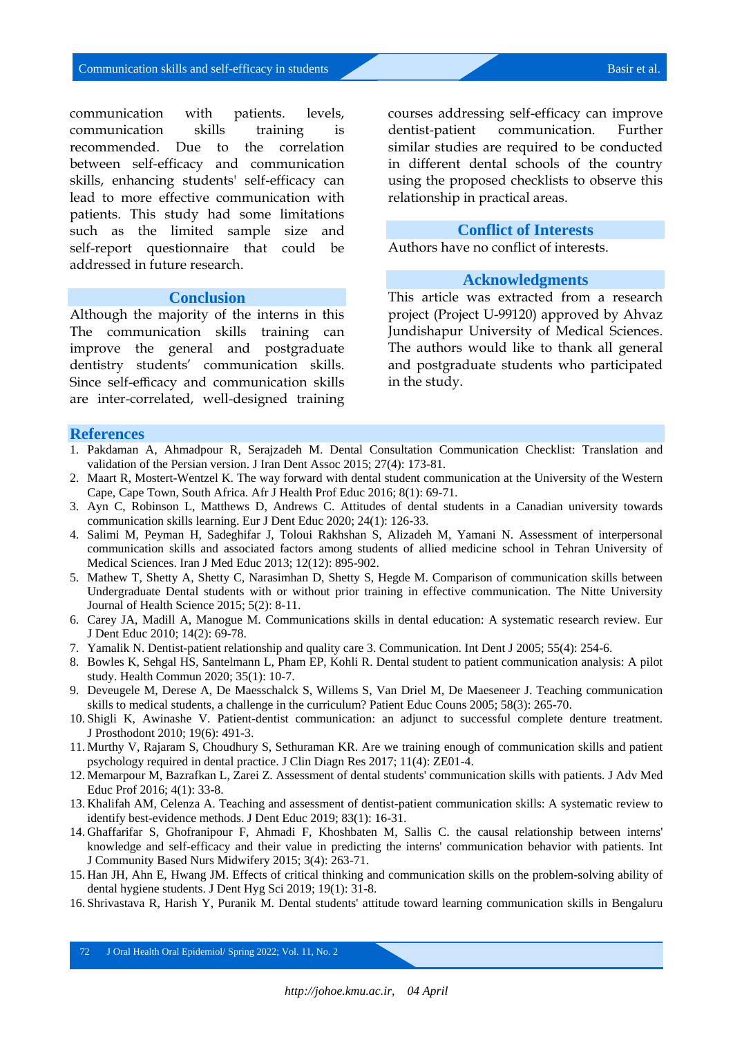communication with patients. levels, communication skills training is recommended. Due to the correlation between self-efficacy and communication skills, enhancing students' self-efficacy can lead to more effective communication with patients. This study had some limitations such as the limited sample size and self-report questionnaire that could be addressed in future research.

#### **Conclusion**

Although the majority of the interns in this The communication skills training can improve the general and postgraduate dentistry students' communication skills. Since self-efficacy and communication skills are inter-correlated, well-designed training

courses addressing self-efficacy can improve dentist-patient communication. Further similar studies are required to be conducted in different dental schools of the country using the proposed checklists to observe this relationship in practical areas.

#### **Conflict of Interests**

Authors have no conflict of interests.

#### **Acknowledgments**

This article was extracted from a research project (Project U-99120) approved by Ahvaz Jundishapur University of Medical Sciences. The authors would like to thank all general and postgraduate students who participated in the study.

#### **References**

- 1. Pakdaman A, Ahmadpour R, Serajzadeh M. Dental Consultation Communication Checklist: Translation and validation of the Persian version. J Iran Dent Assoc 2015; 27(4): 173-81.
- 2. Maart R, Mostert-Wentzel K. The way forward with dental student communication at the University of the Western Cape, Cape Town, South Africa. Afr J Health Prof Educ 2016; 8(1): 69-71.
- 3. Ayn C, Robinson L, Matthews D, Andrews C. Attitudes of dental students in a Canadian university towards communication skills learning. Eur J Dent Educ 2020; 24(1): 126-33.
- 4. Salimi M, Peyman H, Sadeghifar J, Toloui Rakhshan S, Alizadeh M, Yamani N. Assessment of interpersonal communication skills and associated factors among students of allied medicine school in Tehran University of Medical Sciences. Iran J Med Educ 2013; 12(12): 895-902.
- 5. Mathew T, Shetty A, Shetty C, Narasimhan D, Shetty S, Hegde M. Comparison of communication skills between Undergraduate Dental students with or without prior training in effective communication. The Nitte University Journal of Health Science 2015; 5(2): 8-11.
- 6. Carey JA, Madill A, Manogue M. Communications skills in dental education: A systematic research review. Eur J Dent Educ 2010; 14(2): 69-78.
- 7. Yamalik N. Dentist-patient relationship and quality care 3. Communication. Int Dent J 2005; 55(4): 254-6.
- 8. Bowles K, Sehgal HS, Santelmann L, Pham EP, Kohli R. Dental student to patient communication analysis: A pilot study. Health Commun 2020; 35(1): 10-7.
- 9. Deveugele M, Derese A, De Maesschalck S, Willems S, Van Driel M, De Maeseneer J. Teaching communication skills to medical students, a challenge in the curriculum? Patient Educ Couns 2005; 58(3): 265-70.
- 10. Shigli K, Awinashe V. Patient-dentist communication: an adjunct to successful complete denture treatment. J Prosthodont 2010; 19(6): 491-3.
- 11. Murthy V, Rajaram S, Choudhury S, Sethuraman KR. Are we training enough of communication skills and patient psychology required in dental practice. J Clin Diagn Res 2017; 11(4): ZE01-4.
- 12. Memarpour M, Bazrafkan L, Zarei Z. Assessment of dental students' communication skills with patients. J Adv Med Educ Prof 2016; 4(1): 33-8.
- 13. Khalifah AM, Celenza A. Teaching and assessment of dentist-patient communication skills: A systematic review to identify best-evidence methods. J Dent Educ 2019; 83(1): 16-31.
- 14. Ghaffarifar S, Ghofranipour F, Ahmadi F, Khoshbaten M, Sallis C. the causal relationship between interns' knowledge and self-efficacy and their value in predicting the interns' communication behavior with patients. Int J Community Based Nurs Midwifery 2015; 3(4): 263-71.
- 15. Han JH, Ahn E, Hwang JM. Effects of critical thinking and communication skills on the problem-solving ability of dental hygiene students. J Dent Hyg Sci 2019; 19(1): 31-8.
- 16. Shrivastava R, Harish Y, Puranik M. Dental students' attitude toward learning communication skills in Bengaluru

72 J Oral Health Oral Epidemiol/ Spring 2022; Vol. 11, No. 2